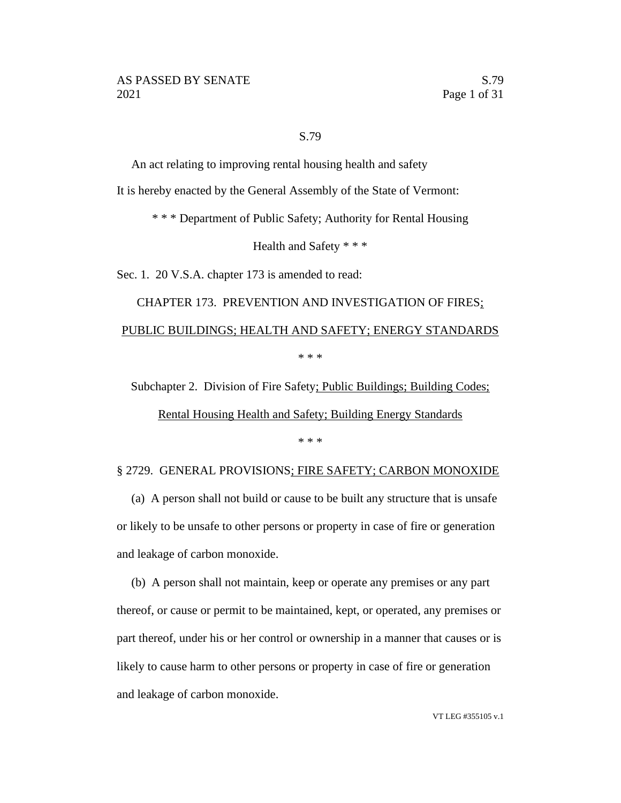#### S.79

An act relating to improving rental housing health and safety

It is hereby enacted by the General Assembly of the State of Vermont:

\* \* \* Department of Public Safety; Authority for Rental Housing

Health and Safety \* \* \*

Sec. 1. 20 V.S.A. chapter 173 is amended to read:

# CHAPTER 173. PREVENTION AND INVESTIGATION OF FIRES; PUBLIC BUILDINGS; HEALTH AND SAFETY; ENERGY STANDARDS \* \* \*

Subchapter 2. Division of Fire Safety; Public Buildings; Building Codes;

Rental Housing Health and Safety; Building Energy Standards

\* \* \*

#### § 2729. GENERAL PROVISIONS; FIRE SAFETY; CARBON MONOXIDE

(a) A person shall not build or cause to be built any structure that is unsafe or likely to be unsafe to other persons or property in case of fire or generation and leakage of carbon monoxide.

(b) A person shall not maintain, keep or operate any premises or any part thereof, or cause or permit to be maintained, kept, or operated, any premises or part thereof, under his or her control or ownership in a manner that causes or is likely to cause harm to other persons or property in case of fire or generation and leakage of carbon monoxide.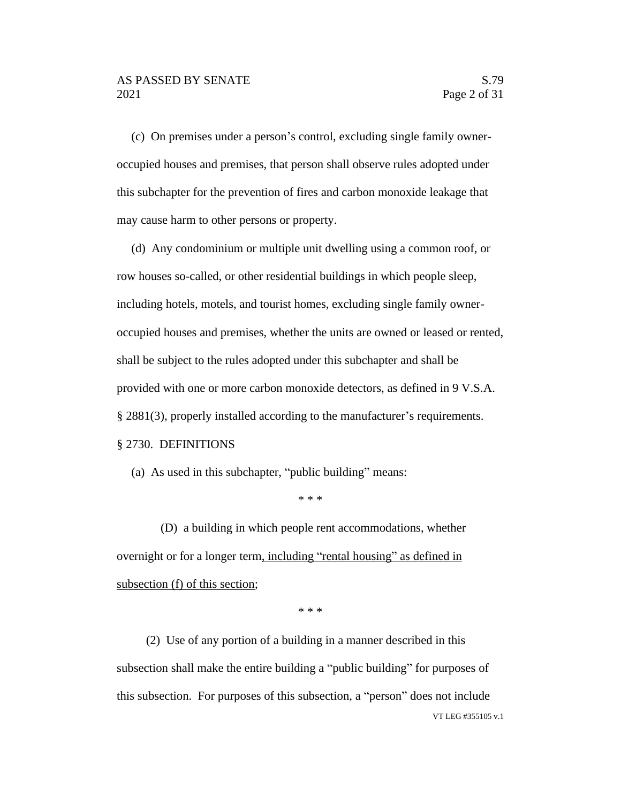(c) On premises under a person's control, excluding single family owneroccupied houses and premises, that person shall observe rules adopted under this subchapter for the prevention of fires and carbon monoxide leakage that may cause harm to other persons or property.

(d) Any condominium or multiple unit dwelling using a common roof, or row houses so-called, or other residential buildings in which people sleep, including hotels, motels, and tourist homes, excluding single family owneroccupied houses and premises, whether the units are owned or leased or rented, shall be subject to the rules adopted under this subchapter and shall be provided with one or more carbon monoxide detectors, as defined in 9 V.S.A. § 2881(3), properly installed according to the manufacturer's requirements. § 2730. DEFINITIONS

(a) As used in this subchapter, "public building" means:

\* \* \*

(D) a building in which people rent accommodations, whether overnight or for a longer term, including "rental housing" as defined in subsection (f) of this section;

\* \* \*

VT LEG #355105 v.1 (2) Use of any portion of a building in a manner described in this subsection shall make the entire building a "public building" for purposes of this subsection. For purposes of this subsection, a "person" does not include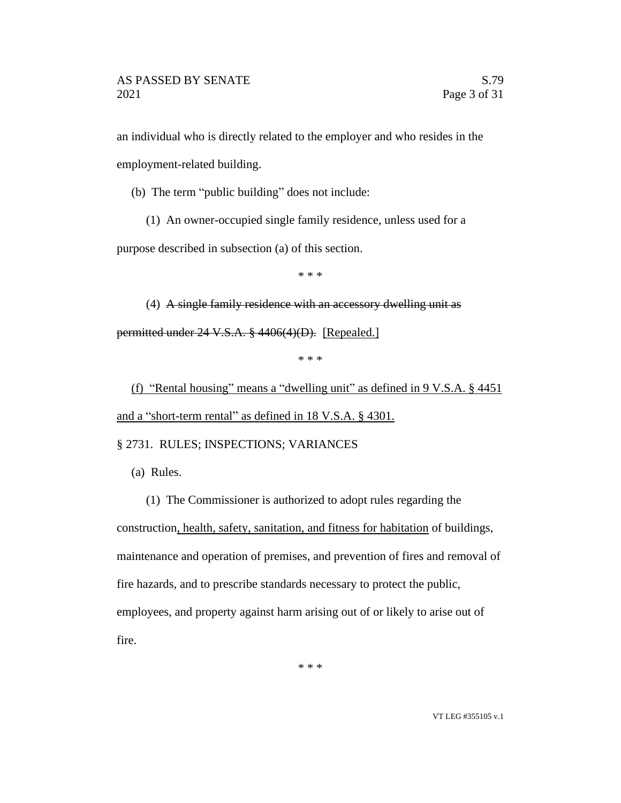an individual who is directly related to the employer and who resides in the employment-related building.

(b) The term "public building" does not include:

(1) An owner-occupied single family residence, unless used for a

purpose described in subsection (a) of this section.

\* \* \*

(4) A single family residence with an accessory dwelling unit as permitted under 24 V.S.A. § 4406(4)(D). [Repealed.]

\* \* \*

(f) "Rental housing" means a "dwelling unit" as defined in  $9 \text{ V.S.A. }$  \$4451 and a "short-term rental" as defined in 18 V.S.A. § 4301.

§ 2731. RULES; INSPECTIONS; VARIANCES

(a) Rules.

(1) The Commissioner is authorized to adopt rules regarding the construction, health, safety, sanitation, and fitness for habitation of buildings, maintenance and operation of premises, and prevention of fires and removal of fire hazards, and to prescribe standards necessary to protect the public, employees, and property against harm arising out of or likely to arise out of fire.

\* \* \*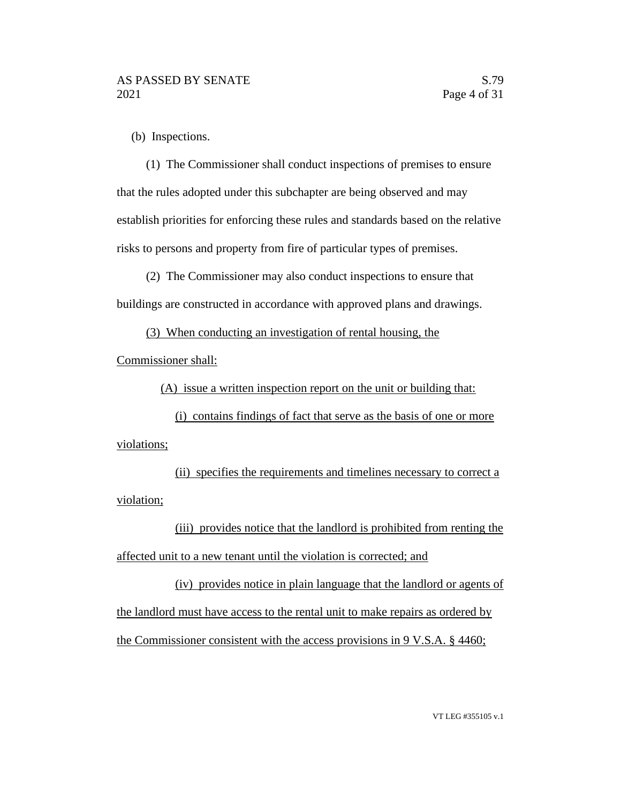(b) Inspections.

(1) The Commissioner shall conduct inspections of premises to ensure that the rules adopted under this subchapter are being observed and may establish priorities for enforcing these rules and standards based on the relative risks to persons and property from fire of particular types of premises.

(2) The Commissioner may also conduct inspections to ensure that buildings are constructed in accordance with approved plans and drawings.

(3) When conducting an investigation of rental housing, the

Commissioner shall:

(A) issue a written inspection report on the unit or building that:

(i) contains findings of fact that serve as the basis of one or more violations;

(ii) specifies the requirements and timelines necessary to correct a violation;

(iii) provides notice that the landlord is prohibited from renting the affected unit to a new tenant until the violation is corrected; and

(iv) provides notice in plain language that the landlord or agents of the landlord must have access to the rental unit to make repairs as ordered by the Commissioner consistent with the access provisions in 9 V.S.A. § 4460;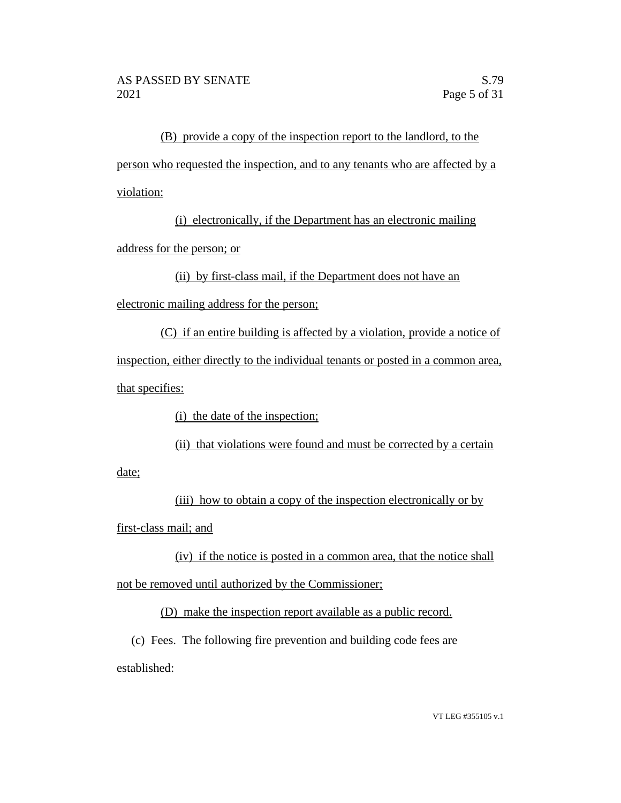(B) provide a copy of the inspection report to the landlord, to the person who requested the inspection, and to any tenants who are affected by a violation:

(i) electronically, if the Department has an electronic mailing

address for the person; or

(ii) by first-class mail, if the Department does not have an

electronic mailing address for the person;

(C) if an entire building is affected by a violation, provide a notice of inspection, either directly to the individual tenants or posted in a common area, that specifies:

(i) the date of the inspection;

(ii) that violations were found and must be corrected by a certain

date;

(iii) how to obtain a copy of the inspection electronically or by first-class mail; and

(iv) if the notice is posted in a common area, that the notice shall not be removed until authorized by the Commissioner;

(D) make the inspection report available as a public record.

(c) Fees. The following fire prevention and building code fees are established: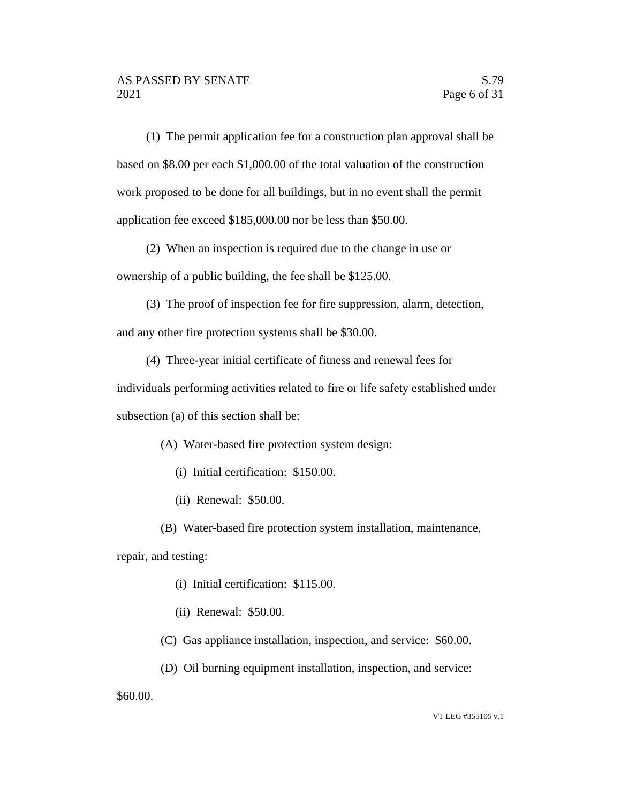(1) The permit application fee for a construction plan approval shall be based on \$8.00 per each \$1,000.00 of the total valuation of the construction work proposed to be done for all buildings, but in no event shall the permit application fee exceed \$185,000.00 nor be less than \$50.00.

(2) When an inspection is required due to the change in use or ownership of a public building, the fee shall be \$125.00.

(3) The proof of inspection fee for fire suppression, alarm, detection,

and any other fire protection systems shall be \$30.00.

(4) Three-year initial certificate of fitness and renewal fees for individuals performing activities related to fire or life safety established under subsection (a) of this section shall be:

(A) Water-based fire protection system design:

(i) Initial certification: \$150.00.

(ii) Renewal: \$50.00.

(B) Water-based fire protection system installation, maintenance,

repair, and testing:

- (i) Initial certification: \$115.00.
- (ii) Renewal: \$50.00.
- (C) Gas appliance installation, inspection, and service: \$60.00.
- (D) Oil burning equipment installation, inspection, and service:

\$60.00.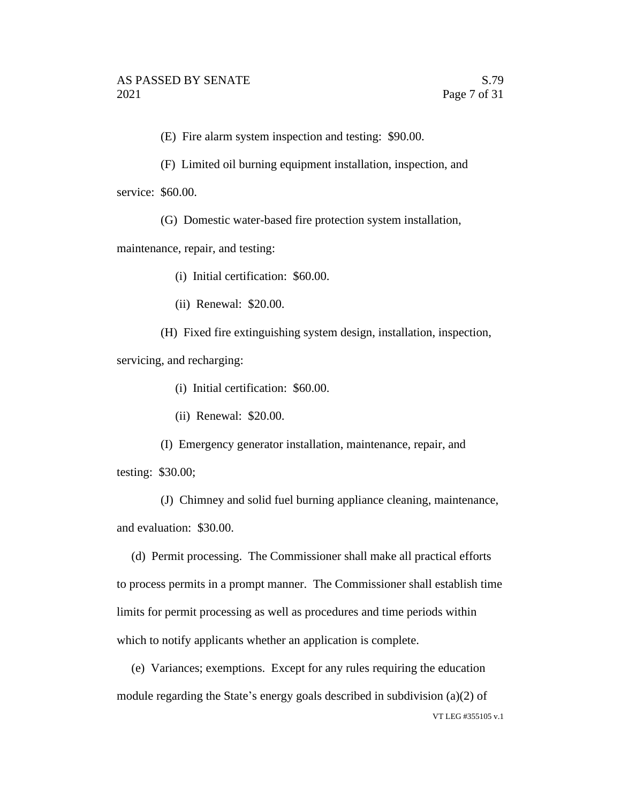(E) Fire alarm system inspection and testing: \$90.00.

(F) Limited oil burning equipment installation, inspection, and

service: \$60.00.

(G) Domestic water-based fire protection system installation,

maintenance, repair, and testing:

(i) Initial certification: \$60.00.

(ii) Renewal: \$20.00.

(H) Fixed fire extinguishing system design, installation, inspection, servicing, and recharging:

(i) Initial certification: \$60.00.

(ii) Renewal: \$20.00.

(I) Emergency generator installation, maintenance, repair, and testing: \$30.00;

(J) Chimney and solid fuel burning appliance cleaning, maintenance, and evaluation: \$30.00.

(d) Permit processing. The Commissioner shall make all practical efforts to process permits in a prompt manner. The Commissioner shall establish time limits for permit processing as well as procedures and time periods within which to notify applicants whether an application is complete.

VT LEG #355105 v.1 (e) Variances; exemptions. Except for any rules requiring the education module regarding the State's energy goals described in subdivision (a)(2) of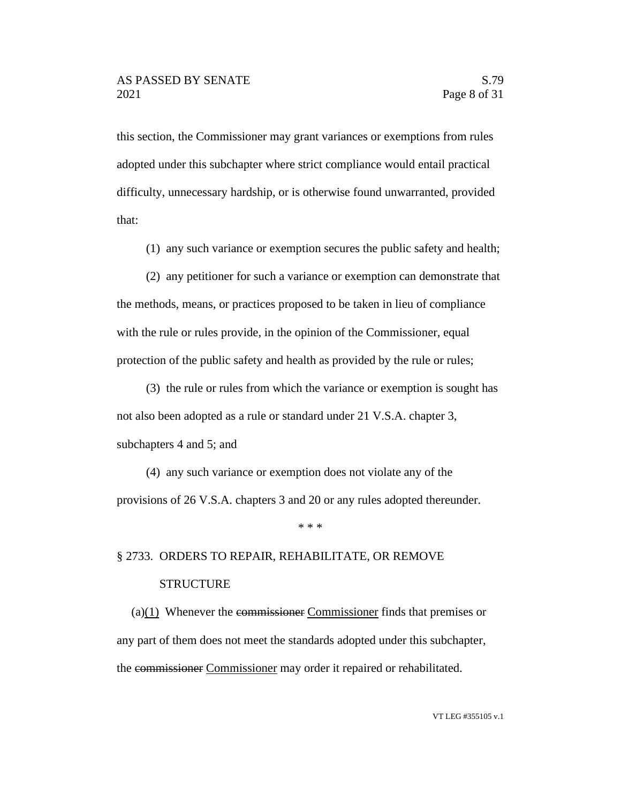this section, the Commissioner may grant variances or exemptions from rules adopted under this subchapter where strict compliance would entail practical difficulty, unnecessary hardship, or is otherwise found unwarranted, provided that:

(1) any such variance or exemption secures the public safety and health;

(2) any petitioner for such a variance or exemption can demonstrate that the methods, means, or practices proposed to be taken in lieu of compliance with the rule or rules provide, in the opinion of the Commissioner, equal protection of the public safety and health as provided by the rule or rules;

(3) the rule or rules from which the variance or exemption is sought has not also been adopted as a rule or standard under 21 V.S.A. chapter 3, subchapters 4 and 5; and

(4) any such variance or exemption does not violate any of the provisions of 26 V.S.A. chapters 3 and 20 or any rules adopted thereunder.

\* \* \*

# § 2733. ORDERS TO REPAIR, REHABILITATE, OR REMOVE **STRUCTURE**

(a)(1) Whenever the commissioner Commissioner finds that premises or any part of them does not meet the standards adopted under this subchapter, the commissioner Commissioner may order it repaired or rehabilitated.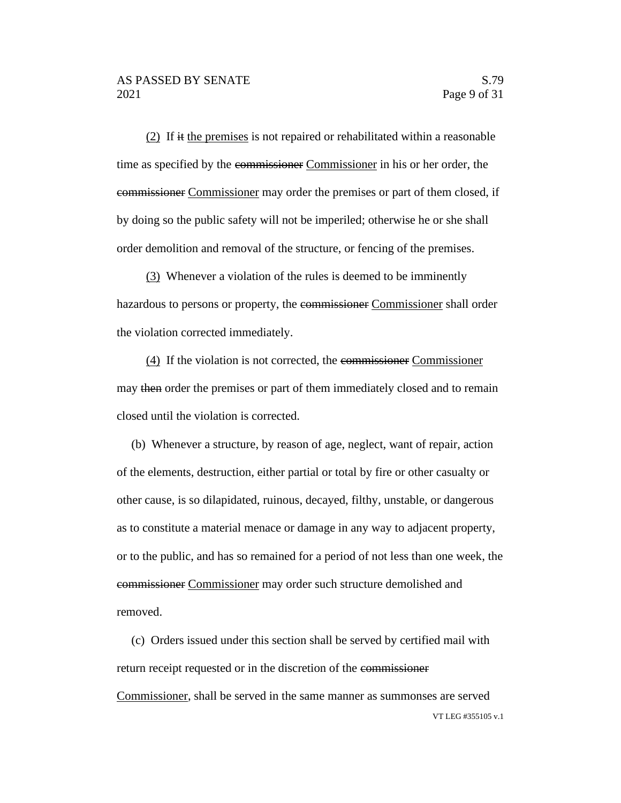(2) If it the premises is not repaired or rehabilitated within a reasonable time as specified by the commissioner Commissioner in his or her order, the commissioner Commissioner may order the premises or part of them closed, if by doing so the public safety will not be imperiled; otherwise he or she shall order demolition and removal of the structure, or fencing of the premises.

(3) Whenever a violation of the rules is deemed to be imminently hazardous to persons or property, the commissioner Commissioner shall order the violation corrected immediately.

(4) If the violation is not corrected, the commissioner Commissioner may then order the premises or part of them immediately closed and to remain closed until the violation is corrected.

(b) Whenever a structure, by reason of age, neglect, want of repair, action of the elements, destruction, either partial or total by fire or other casualty or other cause, is so dilapidated, ruinous, decayed, filthy, unstable, or dangerous as to constitute a material menace or damage in any way to adjacent property, or to the public, and has so remained for a period of not less than one week, the commissioner Commissioner may order such structure demolished and removed.

VT LEG #355105 v.1 (c) Orders issued under this section shall be served by certified mail with return receipt requested or in the discretion of the commissioner Commissioner, shall be served in the same manner as summonses are served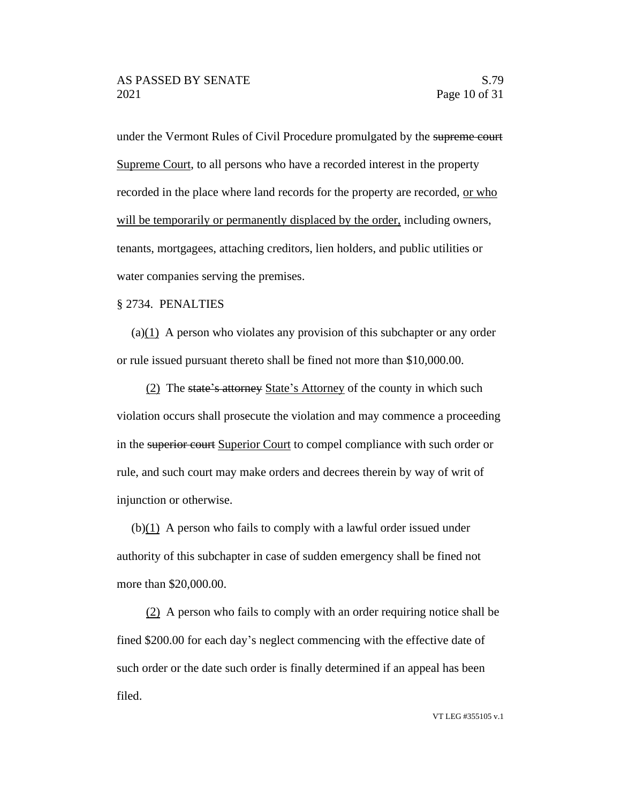under the Vermont Rules of Civil Procedure promulgated by the supreme court Supreme Court, to all persons who have a recorded interest in the property recorded in the place where land records for the property are recorded, or who will be temporarily or permanently displaced by the order, including owners, tenants, mortgagees, attaching creditors, lien holders, and public utilities or water companies serving the premises.

#### § 2734. PENALTIES

(a)(1) A person who violates any provision of this subchapter or any order or rule issued pursuant thereto shall be fined not more than \$10,000.00.

(2) The state's attorney State's Attorney of the county in which such violation occurs shall prosecute the violation and may commence a proceeding in the superior court Superior Court to compel compliance with such order or rule, and such court may make orders and decrees therein by way of writ of injunction or otherwise.

 $(b)(1)$  A person who fails to comply with a lawful order issued under authority of this subchapter in case of sudden emergency shall be fined not more than \$20,000.00.

(2) A person who fails to comply with an order requiring notice shall be fined \$200.00 for each day's neglect commencing with the effective date of such order or the date such order is finally determined if an appeal has been filed.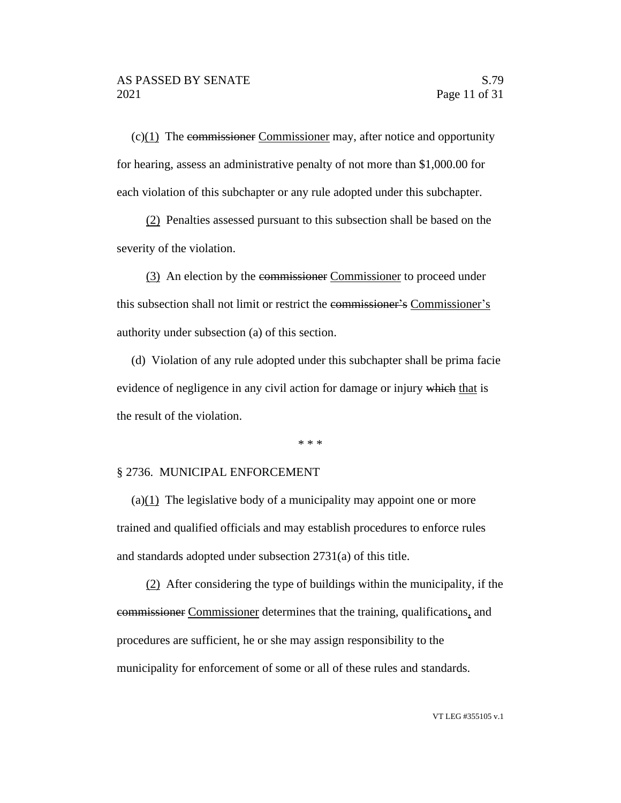$(c)(1)$  The commissioner Commissioner may, after notice and opportunity for hearing, assess an administrative penalty of not more than \$1,000.00 for each violation of this subchapter or any rule adopted under this subchapter.

(2) Penalties assessed pursuant to this subsection shall be based on the severity of the violation.

(3) An election by the commissioner Commissioner to proceed under this subsection shall not limit or restrict the commissioner's Commissioner's authority under subsection (a) of this section.

(d) Violation of any rule adopted under this subchapter shall be prima facie evidence of negligence in any civil action for damage or injury which that is the result of the violation.

\* \* \*

#### § 2736. MUNICIPAL ENFORCEMENT

(a) $(1)$  The legislative body of a municipality may appoint one or more trained and qualified officials and may establish procedures to enforce rules and standards adopted under subsection 2731(a) of this title.

(2) After considering the type of buildings within the municipality, if the commissioner Commissioner determines that the training, qualifications, and procedures are sufficient, he or she may assign responsibility to the municipality for enforcement of some or all of these rules and standards.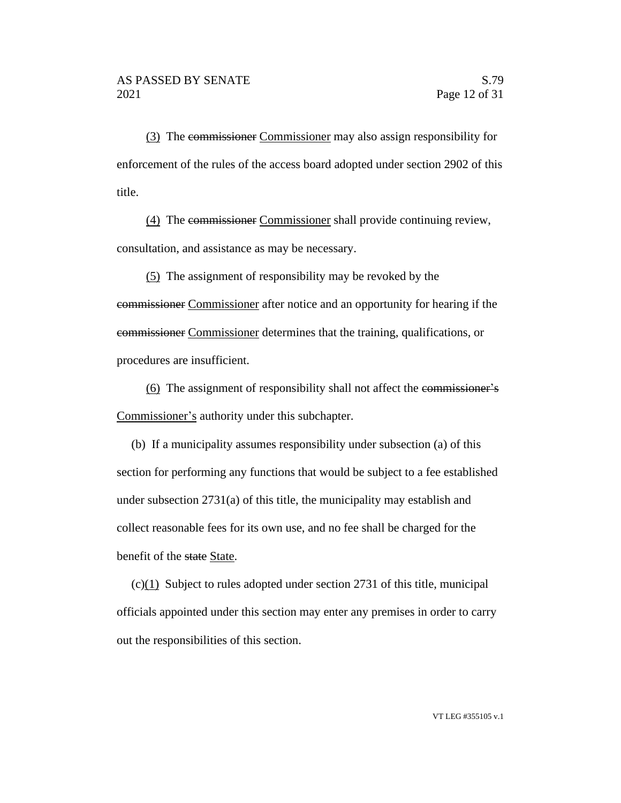(3) The commissioner Commissioner may also assign responsibility for enforcement of the rules of the access board adopted under section 2902 of this title.

(4) The commissioner Commissioner shall provide continuing review, consultation, and assistance as may be necessary.

(5) The assignment of responsibility may be revoked by the commissioner Commissioner after notice and an opportunity for hearing if the commissioner Commissioner determines that the training, qualifications, or procedures are insufficient.

(6) The assignment of responsibility shall not affect the commissioner's Commissioner's authority under this subchapter.

(b) If a municipality assumes responsibility under subsection (a) of this section for performing any functions that would be subject to a fee established under subsection 2731(a) of this title, the municipality may establish and collect reasonable fees for its own use, and no fee shall be charged for the benefit of the state State.

(c)(1) Subject to rules adopted under section 2731 of this title, municipal officials appointed under this section may enter any premises in order to carry out the responsibilities of this section.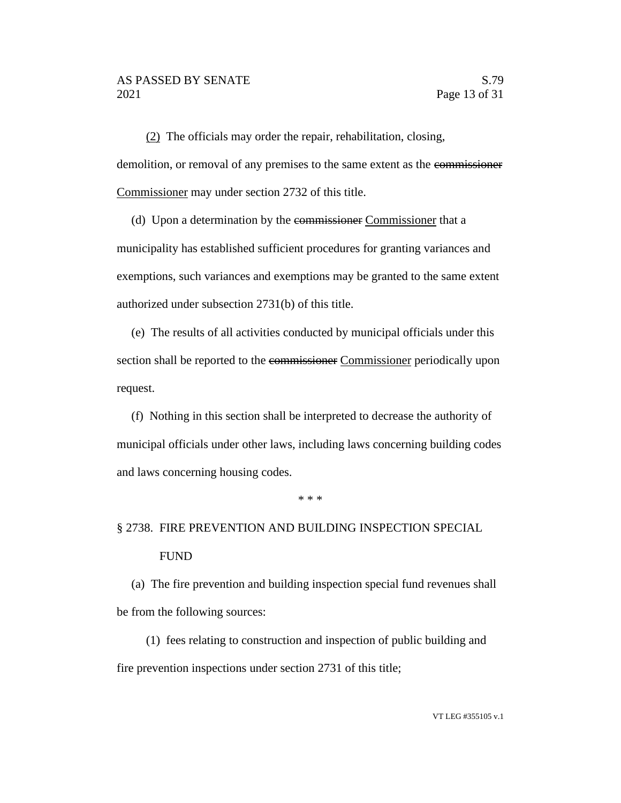(2) The officials may order the repair, rehabilitation, closing, demolition, or removal of any premises to the same extent as the commissioner Commissioner may under section 2732 of this title.

(d) Upon a determination by the commissioner Commissioner that a municipality has established sufficient procedures for granting variances and exemptions, such variances and exemptions may be granted to the same extent authorized under subsection 2731(b) of this title.

(e) The results of all activities conducted by municipal officials under this section shall be reported to the commissioner Commissioner periodically upon request.

(f) Nothing in this section shall be interpreted to decrease the authority of municipal officials under other laws, including laws concerning building codes and laws concerning housing codes.

\* \* \*

# § 2738. FIRE PREVENTION AND BUILDING INSPECTION SPECIAL FUND

(a) The fire prevention and building inspection special fund revenues shall be from the following sources:

(1) fees relating to construction and inspection of public building and fire prevention inspections under section 2731 of this title;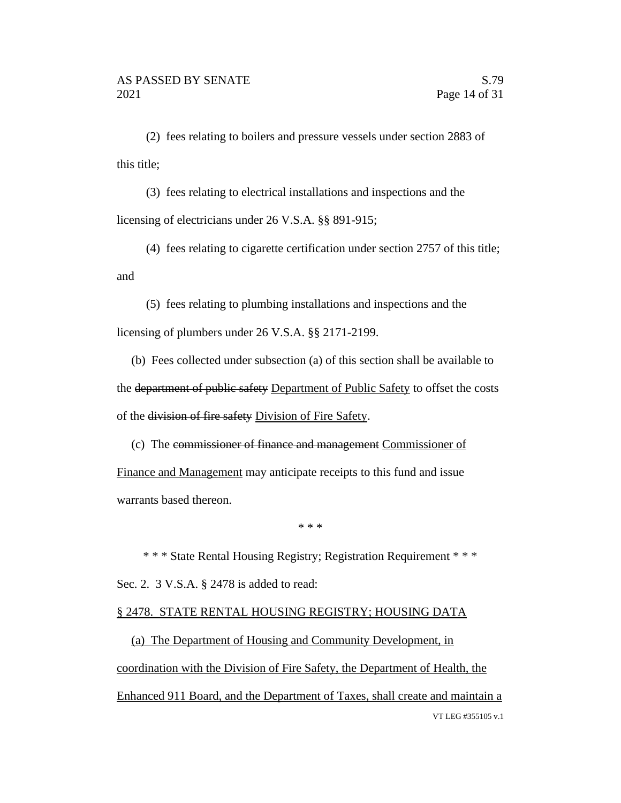(2) fees relating to boilers and pressure vessels under section 2883 of this title;

(3) fees relating to electrical installations and inspections and the licensing of electricians under 26 V.S.A. §§ 891-915;

(4) fees relating to cigarette certification under section 2757 of this title; and

(5) fees relating to plumbing installations and inspections and the licensing of plumbers under 26 V.S.A. §§ 2171-2199.

(b) Fees collected under subsection (a) of this section shall be available to the department of public safety Department of Public Safety to offset the costs of the division of fire safety Division of Fire Safety.

(c) The commissioner of finance and management Commissioner of Finance and Management may anticipate receipts to this fund and issue warrants based thereon.

\* \* \*

\* \* \* State Rental Housing Registry; Registration Requirement \* \* \* Sec. 2. 3 V.S.A. § 2478 is added to read:

#### § 2478. STATE RENTAL HOUSING REGISTRY; HOUSING DATA

VT LEG #355105 v.1 (a) The Department of Housing and Community Development, in coordination with the Division of Fire Safety, the Department of Health, the Enhanced 911 Board, and the Department of Taxes, shall create and maintain a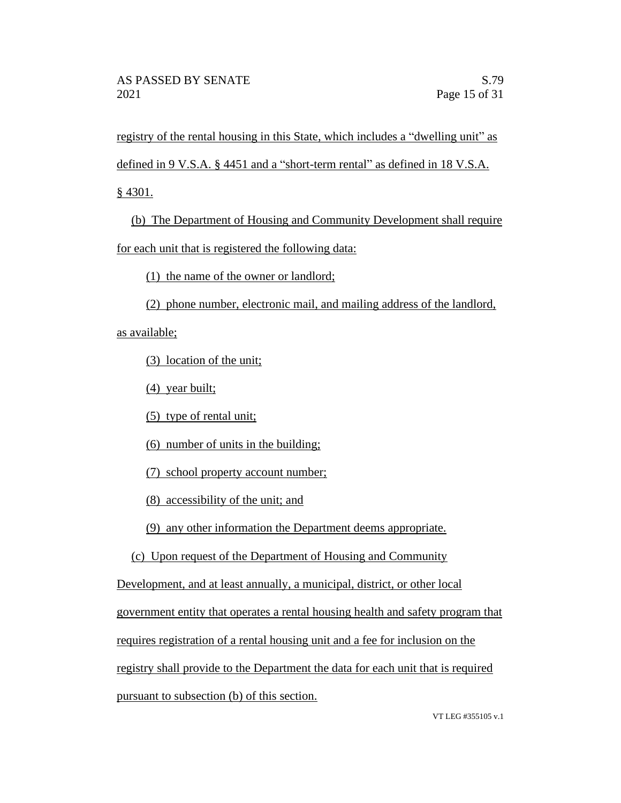registry of the rental housing in this State, which includes a "dwelling unit" as

defined in 9 V.S.A. § 4451 and a "short-term rental" as defined in 18 V.S.A.

§ 4301.

(b) The Department of Housing and Community Development shall require for each unit that is registered the following data:

(1) the name of the owner or landlord;

(2) phone number, electronic mail, and mailing address of the landlord,

as available;

(3) location of the unit;

(4) year built;

(5) type of rental unit;

(6) number of units in the building;

(7) school property account number;

(8) accessibility of the unit; and

(9) any other information the Department deems appropriate.

(c) Upon request of the Department of Housing and Community

Development, and at least annually, a municipal, district, or other local

government entity that operates a rental housing health and safety program that

requires registration of a rental housing unit and a fee for inclusion on the

registry shall provide to the Department the data for each unit that is required

pursuant to subsection (b) of this section.

VT LEG #355105 v.1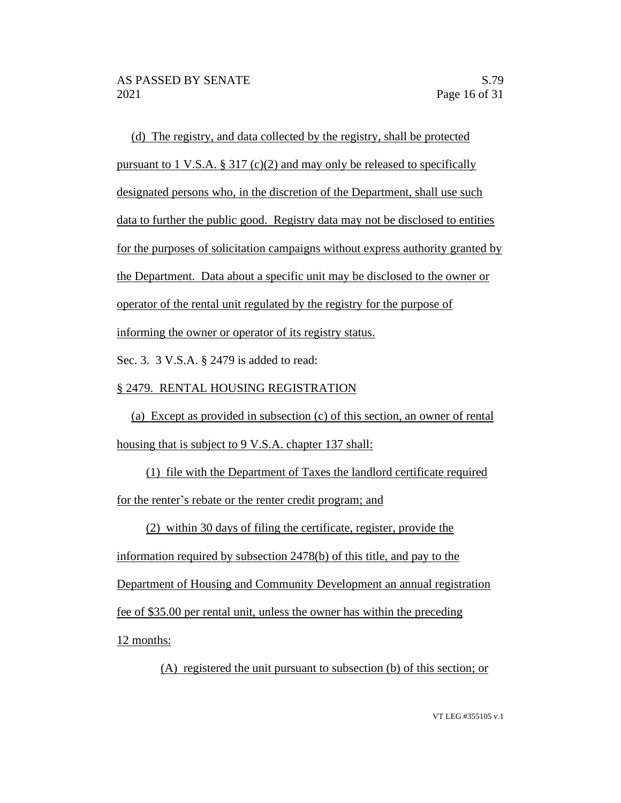(d) The registry, and data collected by the registry, shall be protected pursuant to 1 V.S.A.  $\S 317$  (c)(2) and may only be released to specifically designated persons who, in the discretion of the Department, shall use such data to further the public good. Registry data may not be disclosed to entities for the purposes of solicitation campaigns without express authority granted by the Department. Data about a specific unit may be disclosed to the owner or operator of the rental unit regulated by the registry for the purpose of informing the owner or operator of its registry status.

Sec. 3. 3 V.S.A. § 2479 is added to read:

# § 2479. RENTAL HOUSING REGISTRATION

(a) Except as provided in subsection (c) of this section, an owner of rental housing that is subject to 9 V.S.A. chapter 137 shall:

(1) file with the Department of Taxes the landlord certificate required for the renter's rebate or the renter credit program; and

(2) within 30 days of filing the certificate, register, provide the

information required by subsection 2478(b) of this title, and pay to the

Department of Housing and Community Development an annual registration

fee of \$35.00 per rental unit, unless the owner has within the preceding

12 months:

(A) registered the unit pursuant to subsection (b) of this section; or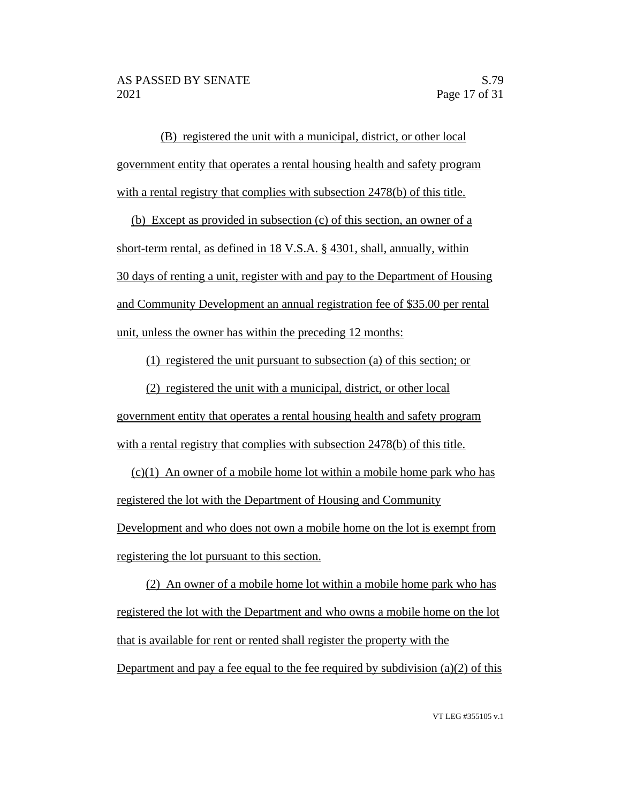(B) registered the unit with a municipal, district, or other local government entity that operates a rental housing health and safety program with a rental registry that complies with subsection 2478(b) of this title.

(b) Except as provided in subsection (c) of this section, an owner of a short-term rental, as defined in 18 V.S.A. § 4301, shall, annually, within 30 days of renting a unit, register with and pay to the Department of Housing and Community Development an annual registration fee of \$35.00 per rental unit, unless the owner has within the preceding 12 months:

(1) registered the unit pursuant to subsection (a) of this section; or

(2) registered the unit with a municipal, district, or other local government entity that operates a rental housing health and safety program with a rental registry that complies with subsection 2478(b) of this title.

 $(c)(1)$  An owner of a mobile home lot within a mobile home park who has registered the lot with the Department of Housing and Community Development and who does not own a mobile home on the lot is exempt from registering the lot pursuant to this section.

(2) An owner of a mobile home lot within a mobile home park who has registered the lot with the Department and who owns a mobile home on the lot that is available for rent or rented shall register the property with the Department and pay a fee equal to the fee required by subdivision (a)(2) of this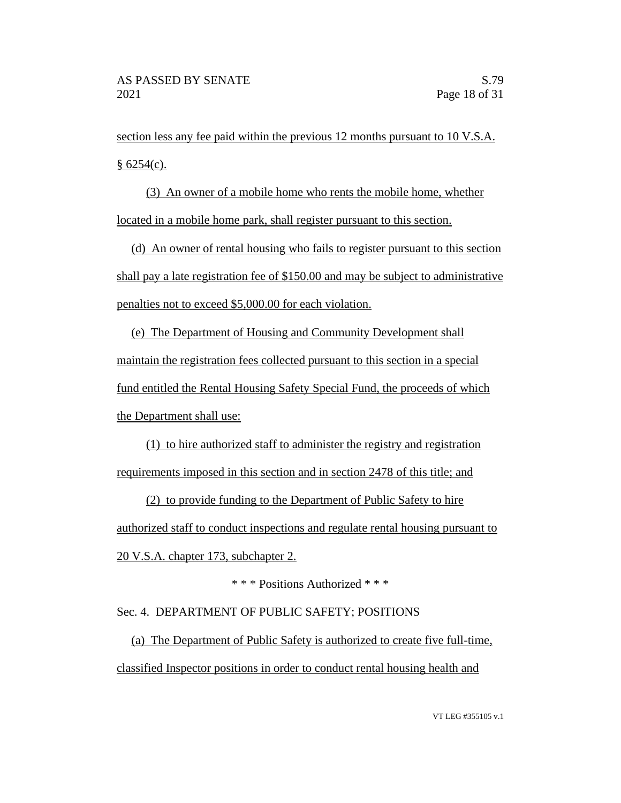section less any fee paid within the previous 12 months pursuant to 10 V.S.A.  $§ 6254(c).$ 

(3) An owner of a mobile home who rents the mobile home, whether located in a mobile home park, shall register pursuant to this section.

(d) An owner of rental housing who fails to register pursuant to this section shall pay a late registration fee of \$150.00 and may be subject to administrative penalties not to exceed \$5,000.00 for each violation.

(e) The Department of Housing and Community Development shall maintain the registration fees collected pursuant to this section in a special fund entitled the Rental Housing Safety Special Fund, the proceeds of which the Department shall use:

(1) to hire authorized staff to administer the registry and registration requirements imposed in this section and in section 2478 of this title; and

(2) to provide funding to the Department of Public Safety to hire authorized staff to conduct inspections and regulate rental housing pursuant to 20 V.S.A. chapter 173, subchapter 2.

\* \* \* Positions Authorized \* \* \*

## Sec. 4. DEPARTMENT OF PUBLIC SAFETY; POSITIONS

(a) The Department of Public Safety is authorized to create five full-time, classified Inspector positions in order to conduct rental housing health and

VT LEG #355105 v.1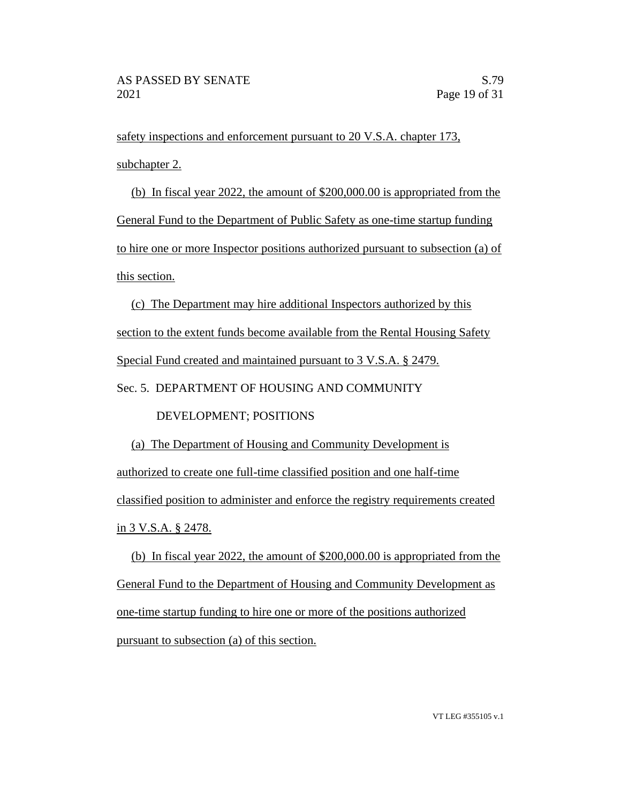safety inspections and enforcement pursuant to 20 V.S.A. chapter 173, subchapter 2.

(b) In fiscal year 2022, the amount of \$200,000.00 is appropriated from the General Fund to the Department of Public Safety as one-time startup funding to hire one or more Inspector positions authorized pursuant to subsection (a) of this section.

(c) The Department may hire additional Inspectors authorized by this section to the extent funds become available from the Rental Housing Safety Special Fund created and maintained pursuant to 3 V.S.A. § 2479.

#### Sec. 5. DEPARTMENT OF HOUSING AND COMMUNITY

## DEVELOPMENT; POSITIONS

(a) The Department of Housing and Community Development is authorized to create one full-time classified position and one half-time classified position to administer and enforce the registry requirements created in 3 V.S.A. § 2478.

(b) In fiscal year 2022, the amount of \$200,000.00 is appropriated from the General Fund to the Department of Housing and Community Development as one-time startup funding to hire one or more of the positions authorized pursuant to subsection (a) of this section.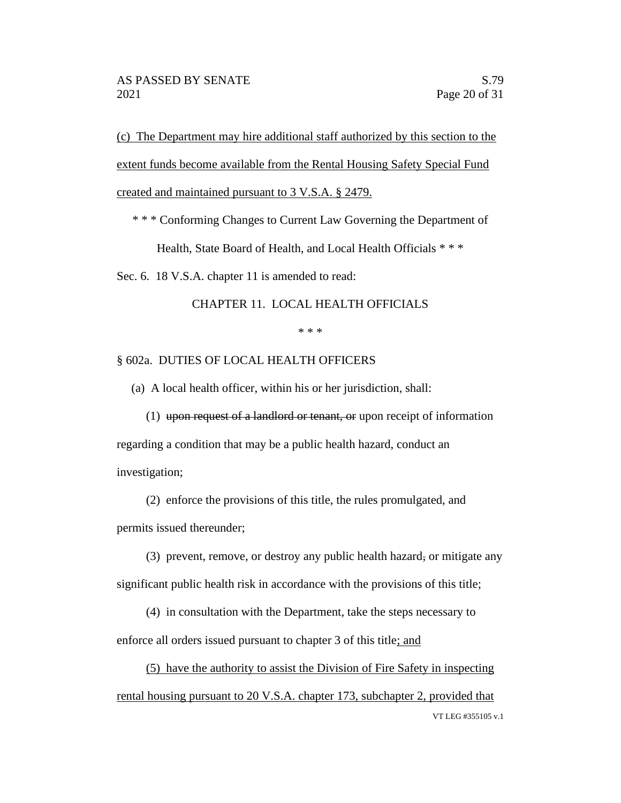(c) The Department may hire additional staff authorized by this section to the extent funds become available from the Rental Housing Safety Special Fund created and maintained pursuant to 3 V.S.A. § 2479.

\* \* \* Conforming Changes to Current Law Governing the Department of

Health, State Board of Health, and Local Health Officials \* \* \*

Sec. 6. 18 V.S.A. chapter 11 is amended to read:

CHAPTER 11. LOCAL HEALTH OFFICIALS

\* \* \*

§ 602a. DUTIES OF LOCAL HEALTH OFFICERS

(a) A local health officer, within his or her jurisdiction, shall:

(1) upon request of a landlord or tenant, or upon receipt of information regarding a condition that may be a public health hazard, conduct an investigation;

(2) enforce the provisions of this title, the rules promulgated, and permits issued thereunder;

(3) prevent, remove, or destroy any public health hazard, or mitigate any significant public health risk in accordance with the provisions of this title;

(4) in consultation with the Department, take the steps necessary to enforce all orders issued pursuant to chapter 3 of this title; and

VT LEG #355105 v.1 (5) have the authority to assist the Division of Fire Safety in inspecting rental housing pursuant to 20 V.S.A. chapter 173, subchapter 2, provided that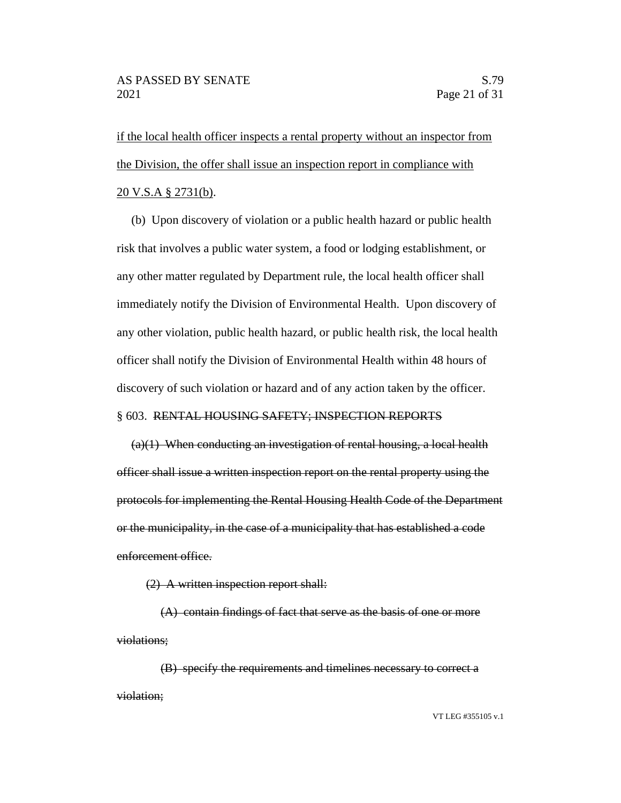if the local health officer inspects a rental property without an inspector from the Division, the offer shall issue an inspection report in compliance with 20 V.S.A § 2731(b).

(b) Upon discovery of violation or a public health hazard or public health risk that involves a public water system, a food or lodging establishment, or any other matter regulated by Department rule, the local health officer shall immediately notify the Division of Environmental Health. Upon discovery of any other violation, public health hazard, or public health risk, the local health officer shall notify the Division of Environmental Health within 48 hours of discovery of such violation or hazard and of any action taken by the officer.

#### § 603. RENTAL HOUSING SAFETY; INSPECTION REPORTS

 $(a)(1)$  When conducting an investigation of rental housing, a local health officer shall issue a written inspection report on the rental property using the protocols for implementing the Rental Housing Health Code of the Department or the municipality, in the case of a municipality that has established a code enforcement office.

(2) A written inspection report shall:

(A) contain findings of fact that serve as the basis of one or more violations;

(B) specify the requirements and timelines necessary to correct a violation;

VT LEG #355105 v.1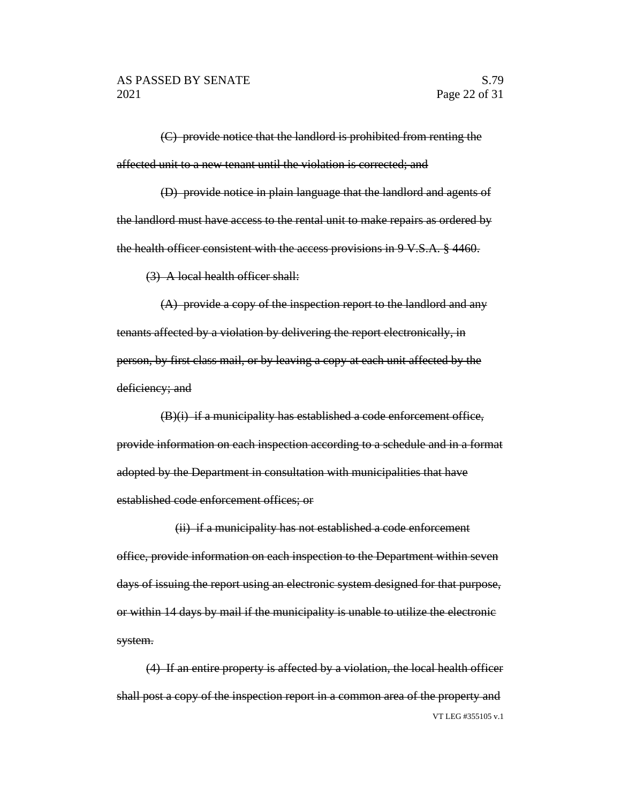(C) provide notice that the landlord is prohibited from renting the affected unit to a new tenant until the violation is corrected; and

(D) provide notice in plain language that the landlord and agents of the landlord must have access to the rental unit to make repairs as ordered by the health officer consistent with the access provisions in 9 V.S.A. § 4460.

(3) A local health officer shall:

(A) provide a copy of the inspection report to the landlord and any tenants affected by a violation by delivering the report electronically, in person, by first class mail, or by leaving a copy at each unit affected by the deficiency; and

 $(B)(i)$  if a municipality has established a code enforcement office, provide information on each inspection according to a schedule and in a format adopted by the Department in consultation with municipalities that have established code enforcement offices; or

(ii) if a municipality has not established a code enforcement office, provide information on each inspection to the Department within seven days of issuing the report using an electronic system designed for that purpose, or within 14 days by mail if the municipality is unable to utilize the electronic system.

VT LEG #355105 v.1 (4) If an entire property is affected by a violation, the local health officer shall post a copy of the inspection report in a common area of the property and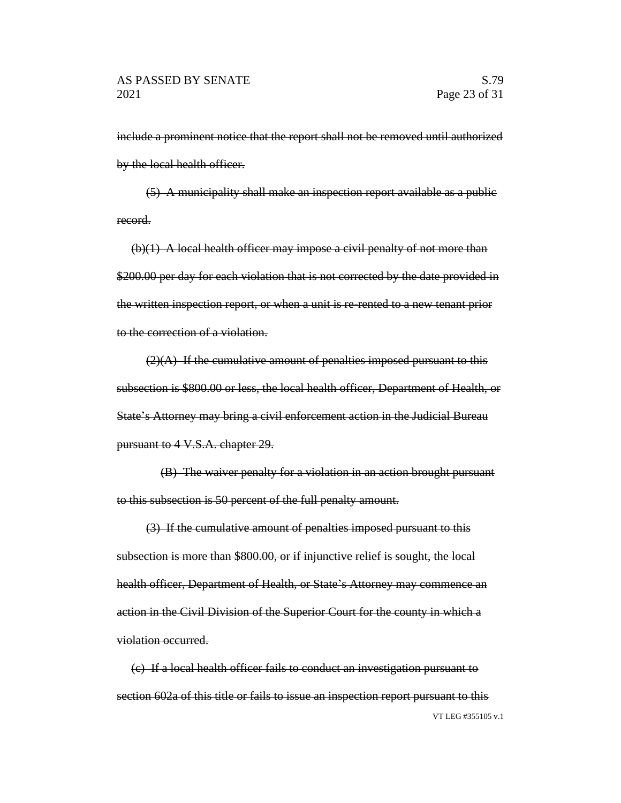include a prominent notice that the report shall not be removed until authorized by the local health officer.

(5) A municipality shall make an inspection report available as a public record.

 $(b)(1)$  A local health officer may impose a civil penalty of not more than \$200.00 per day for each violation that is not corrected by the date provided in the written inspection report, or when a unit is re-rented to a new tenant prior to the correction of a violation.

 $(2)(A)$  If the cumulative amount of penalties imposed pursuant to this subsection is \$800.00 or less, the local health officer, Department of Health, or State's Attorney may bring a civil enforcement action in the Judicial Bureau pursuant to 4 V.S.A. chapter 29.

(B) The waiver penalty for a violation in an action brought pursuant to this subsection is 50 percent of the full penalty amount.

(3) If the cumulative amount of penalties imposed pursuant to this subsection is more than \$800.00, or if injunctive relief is sought, the local health officer, Department of Health, or State's Attorney may commence an action in the Civil Division of the Superior Court for the county in which a violation occurred.

VT LEG #355105 v.1 (c) If a local health officer fails to conduct an investigation pursuant to section 602a of this title or fails to issue an inspection report pursuant to this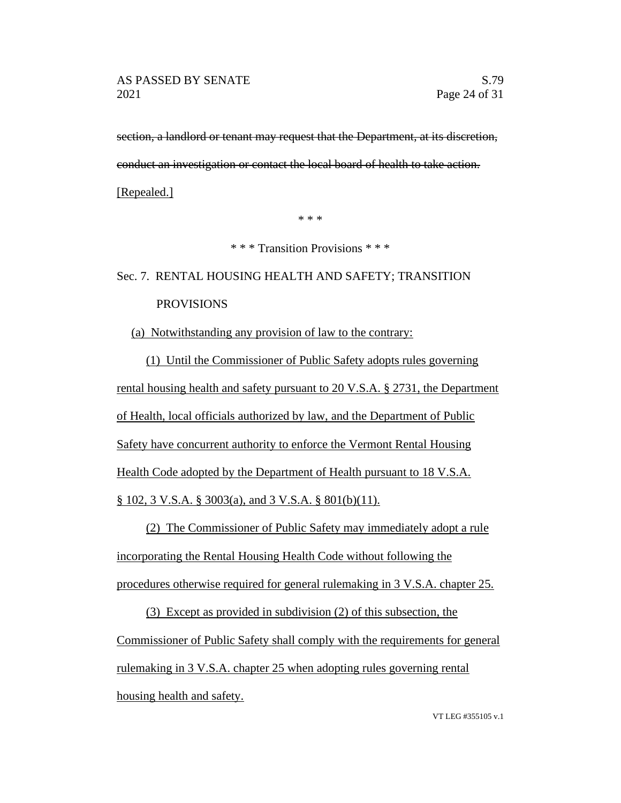section, a landlord or tenant may request that the Department, at its discretion, conduct an investigation or contact the local board of health to take action.

[Repealed.]

\* \* \*

\* \* \* Transition Provisions \* \* \*

# Sec. 7. RENTAL HOUSING HEALTH AND SAFETY; TRANSITION PROVISIONS

## (a) Notwithstanding any provision of law to the contrary:

(1) Until the Commissioner of Public Safety adopts rules governing rental housing health and safety pursuant to 20 V.S.A. § 2731, the Department of Health, local officials authorized by law, and the Department of Public Safety have concurrent authority to enforce the Vermont Rental Housing Health Code adopted by the Department of Health pursuant to 18 V.S.A. § 102, 3 V.S.A. § 3003(a), and 3 V.S.A. § 801(b)(11).

(2) The Commissioner of Public Safety may immediately adopt a rule incorporating the Rental Housing Health Code without following the procedures otherwise required for general rulemaking in 3 V.S.A. chapter 25.

(3) Except as provided in subdivision (2) of this subsection, the Commissioner of Public Safety shall comply with the requirements for general rulemaking in 3 V.S.A. chapter 25 when adopting rules governing rental housing health and safety.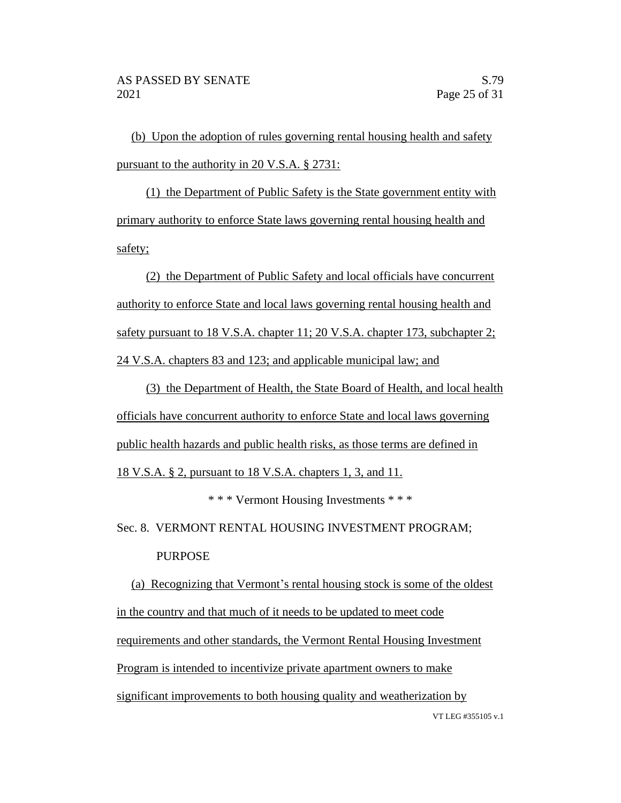(b) Upon the adoption of rules governing rental housing health and safety pursuant to the authority in 20 V.S.A. § 2731:

(1) the Department of Public Safety is the State government entity with primary authority to enforce State laws governing rental housing health and safety;

(2) the Department of Public Safety and local officials have concurrent authority to enforce State and local laws governing rental housing health and safety pursuant to 18 V.S.A. chapter 11; 20 V.S.A. chapter 173, subchapter 2; 24 V.S.A. chapters 83 and 123; and applicable municipal law; and

(3) the Department of Health, the State Board of Health, and local health officials have concurrent authority to enforce State and local laws governing public health hazards and public health risks, as those terms are defined in

18 V.S.A. § 2, pursuant to 18 V.S.A. chapters 1, 3, and 11.

\* \* \* Vermont Housing Investments \* \* \*

Sec. 8. VERMONT RENTAL HOUSING INVESTMENT PROGRAM; PURPOSE

VT LEG #355105 v.1 (a) Recognizing that Vermont's rental housing stock is some of the oldest in the country and that much of it needs to be updated to meet code requirements and other standards, the Vermont Rental Housing Investment Program is intended to incentivize private apartment owners to make significant improvements to both housing quality and weatherization by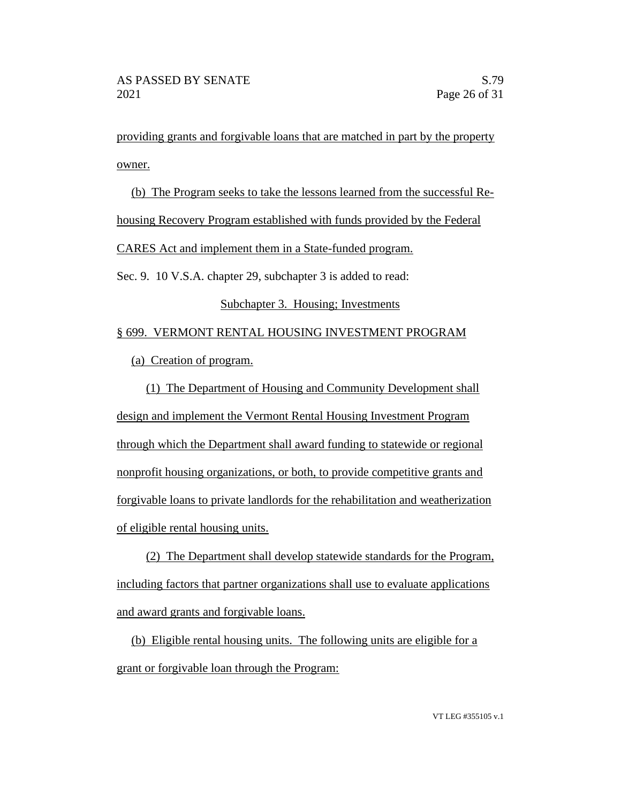providing grants and forgivable loans that are matched in part by the property owner.

(b) The Program seeks to take the lessons learned from the successful Rehousing Recovery Program established with funds provided by the Federal CARES Act and implement them in a State-funded program. Sec. 9. 10 V.S.A. chapter 29, subchapter 3 is added to read: Subchapter 3. Housing; Investments

# § 699. VERMONT RENTAL HOUSING INVESTMENT PROGRAM

(a) Creation of program.

(1) The Department of Housing and Community Development shall design and implement the Vermont Rental Housing Investment Program through which the Department shall award funding to statewide or regional nonprofit housing organizations, or both, to provide competitive grants and forgivable loans to private landlords for the rehabilitation and weatherization of eligible rental housing units.

(2) The Department shall develop statewide standards for the Program, including factors that partner organizations shall use to evaluate applications and award grants and forgivable loans.

(b) Eligible rental housing units. The following units are eligible for a grant or forgivable loan through the Program: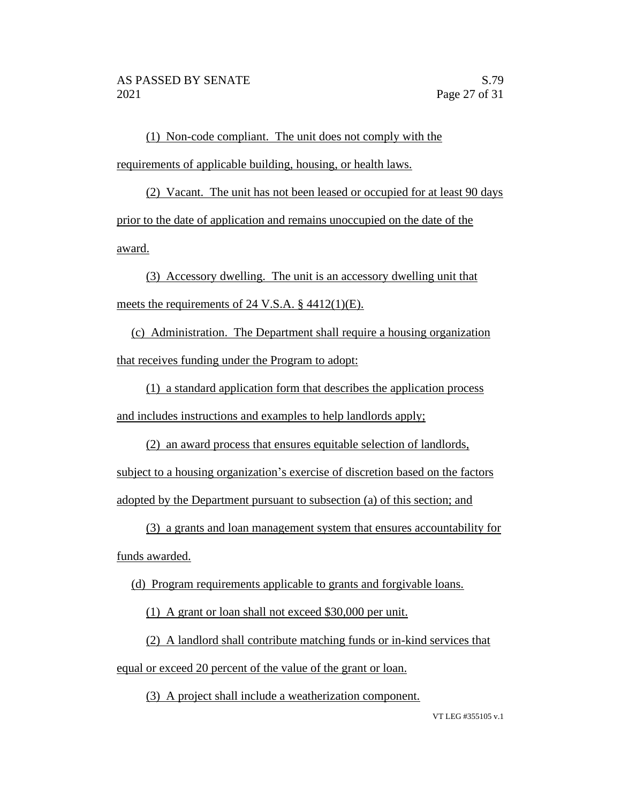(1) Non-code compliant. The unit does not comply with the requirements of applicable building, housing, or health laws.

(2) Vacant. The unit has not been leased or occupied for at least 90 days prior to the date of application and remains unoccupied on the date of the award.

(3) Accessory dwelling. The unit is an accessory dwelling unit that meets the requirements of 24 V.S.A. § 4412(1)(E).

(c) Administration. The Department shall require a housing organization that receives funding under the Program to adopt:

(1) a standard application form that describes the application process and includes instructions and examples to help landlords apply;

(2) an award process that ensures equitable selection of landlords, subject to a housing organization's exercise of discretion based on the factors adopted by the Department pursuant to subsection (a) of this section; and

(3) a grants and loan management system that ensures accountability for funds awarded.

(d) Program requirements applicable to grants and forgivable loans.

(1) A grant or loan shall not exceed \$30,000 per unit.

(2) A landlord shall contribute matching funds or in-kind services that equal or exceed 20 percent of the value of the grant or loan.

(3) A project shall include a weatherization component.

VT LEG #355105 v.1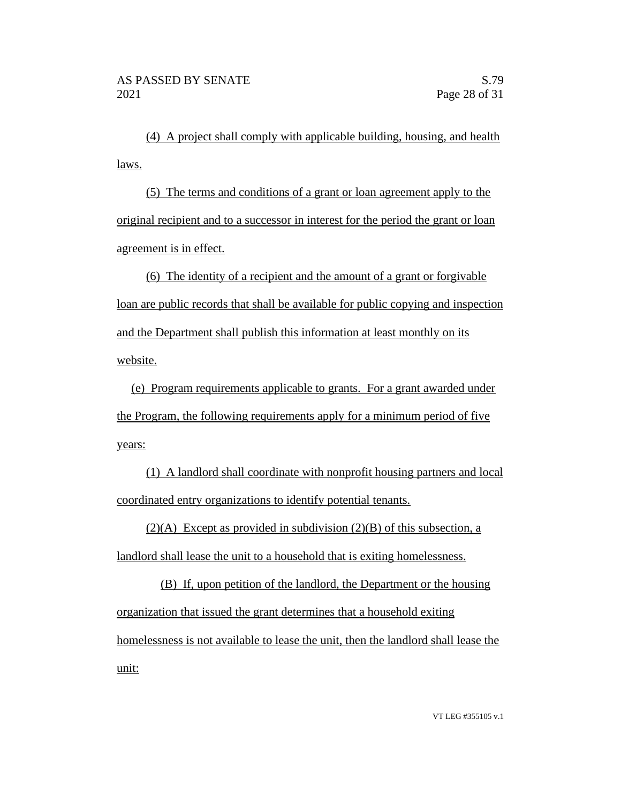(4) A project shall comply with applicable building, housing, and health laws.

(5) The terms and conditions of a grant or loan agreement apply to the original recipient and to a successor in interest for the period the grant or loan agreement is in effect.

(6) The identity of a recipient and the amount of a grant or forgivable loan are public records that shall be available for public copying and inspection and the Department shall publish this information at least monthly on its website.

(e) Program requirements applicable to grants. For a grant awarded under the Program, the following requirements apply for a minimum period of five years:

(1) A landlord shall coordinate with nonprofit housing partners and local coordinated entry organizations to identify potential tenants.

 $(2)(A)$  Except as provided in subdivision  $(2)(B)$  of this subsection, a landlord shall lease the unit to a household that is exiting homelessness.

(B) If, upon petition of the landlord, the Department or the housing organization that issued the grant determines that a household exiting homelessness is not available to lease the unit, then the landlord shall lease the unit: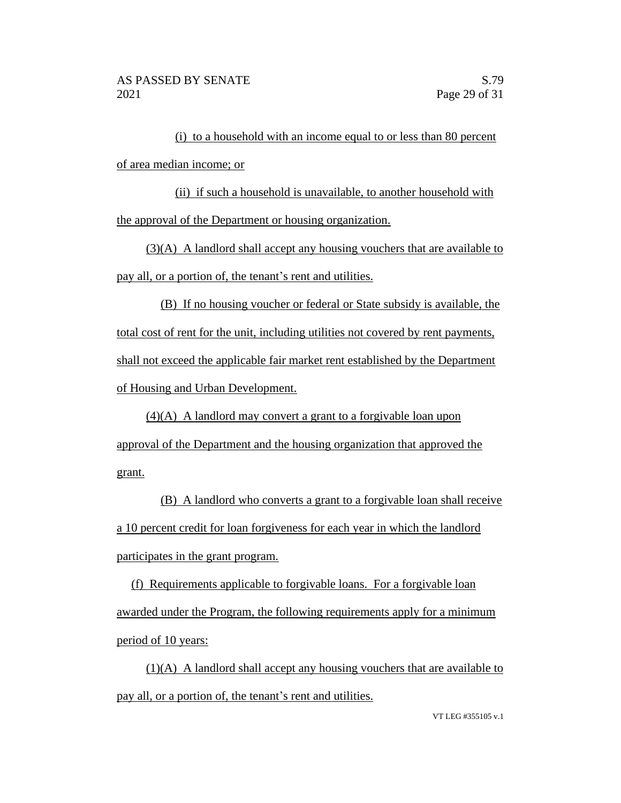(i) to a household with an income equal to or less than 80 percent of area median income; or

(ii) if such a household is unavailable, to another household with the approval of the Department or housing organization.

(3)(A) A landlord shall accept any housing vouchers that are available to pay all, or a portion of, the tenant's rent and utilities.

(B) If no housing voucher or federal or State subsidy is available, the total cost of rent for the unit, including utilities not covered by rent payments, shall not exceed the applicable fair market rent established by the Department of Housing and Urban Development.

(4)(A) A landlord may convert a grant to a forgivable loan upon approval of the Department and the housing organization that approved the grant.

(B) A landlord who converts a grant to a forgivable loan shall receive a 10 percent credit for loan forgiveness for each year in which the landlord participates in the grant program.

(f) Requirements applicable to forgivable loans. For a forgivable loan awarded under the Program, the following requirements apply for a minimum period of 10 years:

(1)(A) A landlord shall accept any housing vouchers that are available to pay all, or a portion of, the tenant's rent and utilities.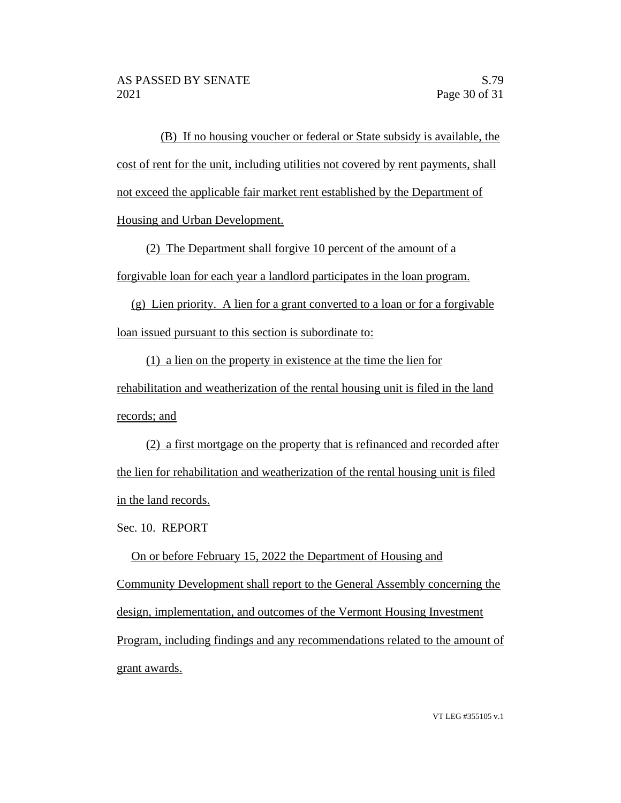(B) If no housing voucher or federal or State subsidy is available, the cost of rent for the unit, including utilities not covered by rent payments, shall not exceed the applicable fair market rent established by the Department of Housing and Urban Development.

(2) The Department shall forgive 10 percent of the amount of a forgivable loan for each year a landlord participates in the loan program.

(g) Lien priority. A lien for a grant converted to a loan or for a forgivable loan issued pursuant to this section is subordinate to:

(1) a lien on the property in existence at the time the lien for rehabilitation and weatherization of the rental housing unit is filed in the land records; and

(2) a first mortgage on the property that is refinanced and recorded after the lien for rehabilitation and weatherization of the rental housing unit is filed in the land records.

Sec. 10. REPORT

On or before February 15, 2022 the Department of Housing and Community Development shall report to the General Assembly concerning the design, implementation, and outcomes of the Vermont Housing Investment Program, including findings and any recommendations related to the amount of grant awards.